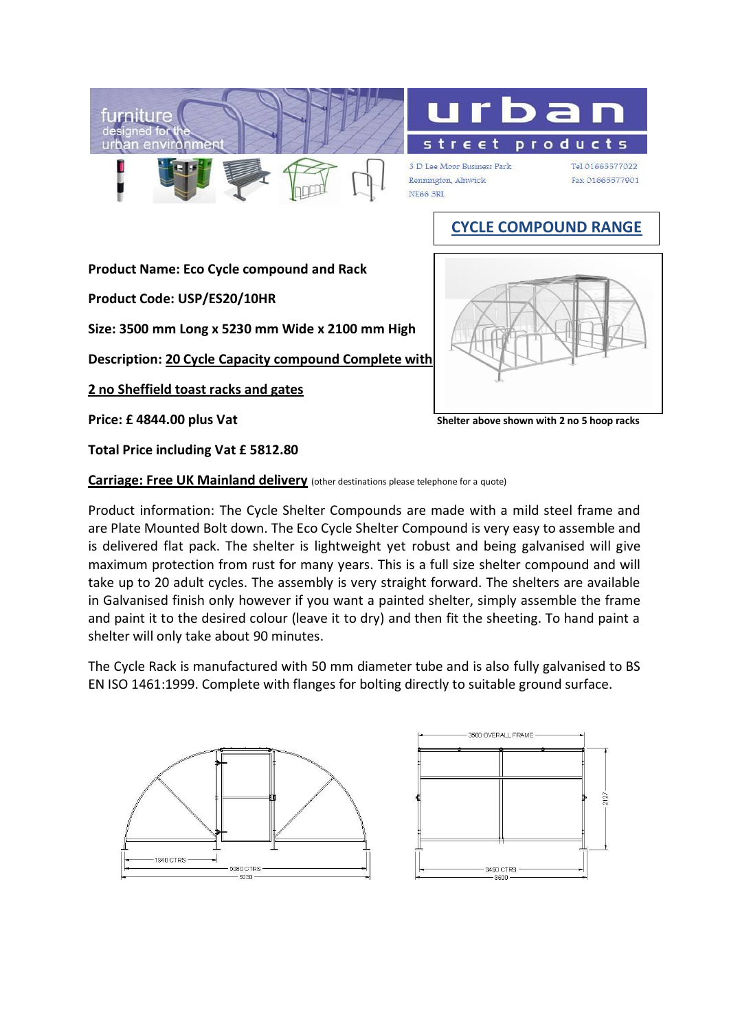



3 D Lee Moor Business Park Rennington, Alnwick **NE66 3RL** 

Tel 01665577022 Fax 01665577901

## **CYCLE COMPOUND RANGE**

**Product Name: Eco Cycle compound and Rack** 

**Product Code: USP/ES20/10HR**

**Size: 3500 mm Long x 5230 mm Wide x 2100 mm High**

**Description: 20 Cycle Capacity compound Complete with**

**2 no Sheffield toast racks and gates**

**Price: £ 4844.00 plus Vat** *Shelter above shown with 2 no 5 hoop racks* 

**Total Price including Vat £ 5812.80**

**Carriage: Free UK Mainland delivery** (other destinations please telephone for a quote)

Product information: The Cycle Shelter Compounds are made with a mild steel frame and are Plate Mounted Bolt down. The Eco Cycle Shelter Compound is very easy to assemble and is delivered flat pack. The shelter is lightweight yet robust and being galvanised will give maximum protection from rust for many years. This is a full size shelter compound and will take up to 20 adult cycles. The assembly is very straight forward. The shelters are available in Galvanised finish only however if you want a painted shelter, simply assemble the frame and paint it to the desired colour (leave it to dry) and then fit the sheeting. To hand paint a shelter will only take about 90 minutes.

The Cycle Rack is manufactured with 50 mm diameter tube and is also fully galvanised to BS EN ISO 1461:1999. Complete with flanges for bolting directly to suitable ground surface.